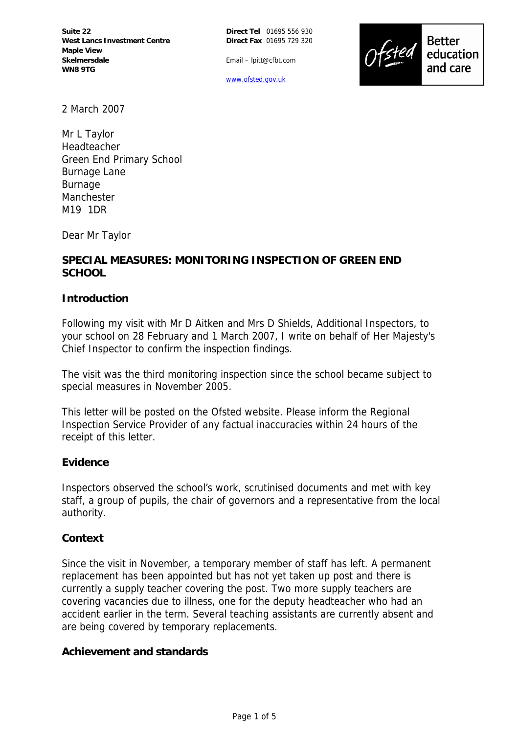

Email – lpitt@cfbt.com

www.ofsted.gov.uk

2 March 2007

Mr L Taylor Headteacher Green End Primary School Burnage Lane Burnage Manchester M19 1DR

Dear Mr Taylor

# **SPECIAL MEASURES: MONITORING INSPECTION OF GREEN END SCHOOL**

### **Introduction**

Following my visit with Mr D Aitken and Mrs D Shields, Additional Inspectors, to your school on 28 February and 1 March 2007, I write on behalf of Her Majesty's Chief Inspector to confirm the inspection findings.

The visit was the third monitoring inspection since the school became subject to special measures in November 2005.

This letter will be posted on the Ofsted website. Please inform the Regional Inspection Service Provider of any factual inaccuracies within 24 hours of the receipt of this letter.

#### **Evidence**

Inspectors observed the school's work, scrutinised documents and met with key staff, a group of pupils, the chair of governors and a representative from the local authority.

#### **Context**

Since the visit in November, a temporary member of staff has left. A permanent replacement has been appointed but has not yet taken up post and there is currently a supply teacher covering the post. Two more supply teachers are covering vacancies due to illness, one for the deputy headteacher who had an accident earlier in the term. Several teaching assistants are currently absent and are being covered by temporary replacements.

**Achievement and standards**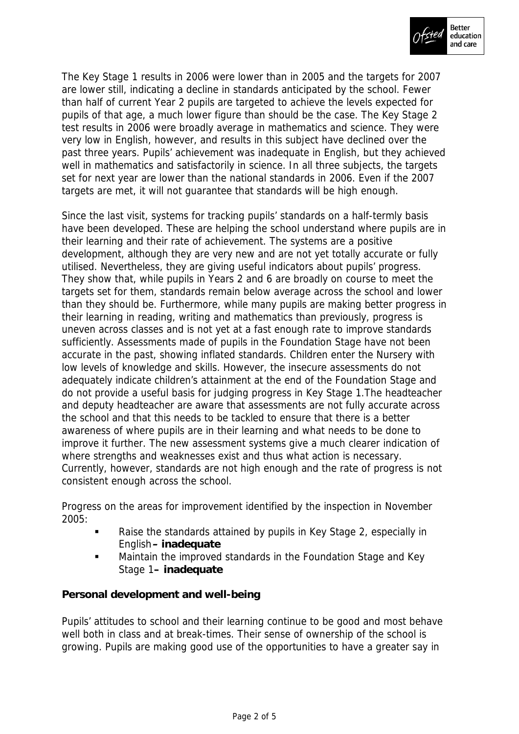

The Key Stage 1 results in 2006 were lower than in 2005 and the targets for 2007 are lower still, indicating a decline in standards anticipated by the school. Fewer than half of current Year 2 pupils are targeted to achieve the levels expected for pupils of that age, a much lower figure than should be the case. The Key Stage 2 test results in 2006 were broadly average in mathematics and science. They were very low in English, however, and results in this subject have declined over the past three years. Pupils' achievement was inadequate in English, but they achieved well in mathematics and satisfactorily in science. In all three subjects, the targets set for next year are lower than the national standards in 2006. Even if the 2007 targets are met, it will not guarantee that standards will be high enough.

Since the last visit, systems for tracking pupils' standards on a half-termly basis have been developed. These are helping the school understand where pupils are in their learning and their rate of achievement. The systems are a positive development, although they are very new and are not yet totally accurate or fully utilised. Nevertheless, they are giving useful indicators about pupils' progress. They show that, while pupils in Years 2 and 6 are broadly on course to meet the targets set for them, standards remain below average across the school and lower than they should be. Furthermore, while many pupils are making better progress in their learning in reading, writing and mathematics than previously, progress is uneven across classes and is not yet at a fast enough rate to improve standards sufficiently. Assessments made of pupils in the Foundation Stage have not been accurate in the past, showing inflated standards. Children enter the Nursery with low levels of knowledge and skills. However, the insecure assessments do not adequately indicate children's attainment at the end of the Foundation Stage and do not provide a useful basis for judging progress in Key Stage 1.The headteacher and deputy headteacher are aware that assessments are not fully accurate across the school and that this needs to be tackled to ensure that there is a better awareness of where pupils are in their learning and what needs to be done to improve it further. The new assessment systems give a much clearer indication of where strengths and weaknesses exist and thus what action is necessary. Currently, however, standards are not high enough and the rate of progress is not consistent enough across the school.

Progress on the areas for improvement identified by the inspection in November 2005:

- Raise the standards attained by pupils in Key Stage 2, especially in English**– inadequate**
- **Maintain the improved standards in the Foundation Stage and Key** Stage 1**– inadequate**

**Personal development and well-being**

Pupils' attitudes to school and their learning continue to be good and most behave well both in class and at break-times. Their sense of ownership of the school is growing. Pupils are making good use of the opportunities to have a greater say in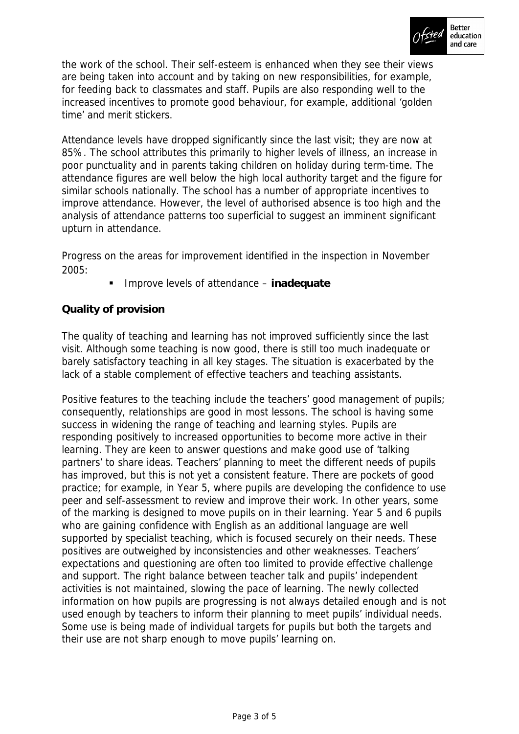

the work of the school. Their self-esteem is enhanced when they see their views are being taken into account and by taking on new responsibilities, for example, for feeding back to classmates and staff. Pupils are also responding well to the increased incentives to promote good behaviour, for example, additional 'golden time' and merit stickers.

Attendance levels have dropped significantly since the last visit; they are now at 85%. The school attributes this primarily to higher levels of illness, an increase in poor punctuality and in parents taking children on holiday during term-time. The attendance figures are well below the high local authority target and the figure for similar schools nationally. The school has a number of appropriate incentives to improve attendance. However, the level of authorised absence is too high and the analysis of attendance patterns too superficial to suggest an imminent significant upturn in attendance.

Progress on the areas for improvement identified in the inspection in November 2005:

Improve levels of attendance – **inadequate**

# **Quality of provision**

The quality of teaching and learning has not improved sufficiently since the last visit. Although some teaching is now good, there is still too much inadequate or barely satisfactory teaching in all key stages. The situation is exacerbated by the lack of a stable complement of effective teachers and teaching assistants.

Positive features to the teaching include the teachers' good management of pupils; consequently, relationships are good in most lessons. The school is having some success in widening the range of teaching and learning styles. Pupils are responding positively to increased opportunities to become more active in their learning. They are keen to answer questions and make good use of 'talking partners' to share ideas. Teachers' planning to meet the different needs of pupils has improved, but this is not yet a consistent feature. There are pockets of good practice; for example, in Year 5, where pupils are developing the confidence to use peer and self-assessment to review and improve their work. In other years, some of the marking is designed to move pupils on in their learning. Year 5 and 6 pupils who are gaining confidence with English as an additional language are well supported by specialist teaching, which is focused securely on their needs. These positives are outweighed by inconsistencies and other weaknesses. Teachers' expectations and questioning are often too limited to provide effective challenge and support. The right balance between teacher talk and pupils' independent activities is not maintained, slowing the pace of learning. The newly collected information on how pupils are progressing is not always detailed enough and is not used enough by teachers to inform their planning to meet pupils' individual needs. Some use is being made of individual targets for pupils but both the targets and their use are not sharp enough to move pupils' learning on.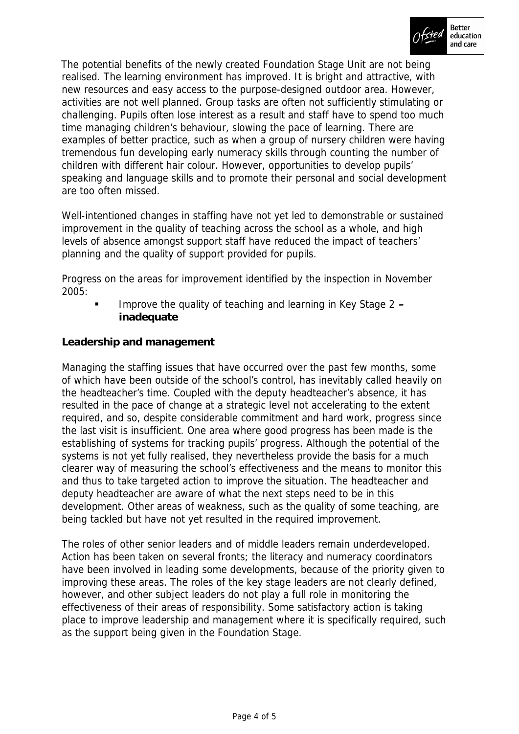

The potential benefits of the newly created Foundation Stage Unit are not being realised. The learning environment has improved. It is bright and attractive, with new resources and easy access to the purpose-designed outdoor area. However, activities are not well planned. Group tasks are often not sufficiently stimulating or challenging. Pupils often lose interest as a result and staff have to spend too much time managing children's behaviour, slowing the pace of learning. There are examples of better practice, such as when a group of nursery children were having tremendous fun developing early numeracy skills through counting the number of children with different hair colour. However, opportunities to develop pupils' speaking and language skills and to promote their personal and social development are too often missed.

Well-intentioned changes in staffing have not yet led to demonstrable or sustained improvement in the quality of teaching across the school as a whole, and high levels of absence amongst support staff have reduced the impact of teachers' planning and the quality of support provided for pupils.

Progress on the areas for improvement identified by the inspection in November 2005:

 Improve the quality of teaching and learning in Key Stage 2 **– inadequate**

**Leadership and management**

Managing the staffing issues that have occurred over the past few months, some of which have been outside of the school's control, has inevitably called heavily on the headteacher's time. Coupled with the deputy headteacher's absence, it has resulted in the pace of change at a strategic level not accelerating to the extent required, and so, despite considerable commitment and hard work, progress since the last visit is insufficient. One area where good progress has been made is the establishing of systems for tracking pupils' progress. Although the potential of the systems is not yet fully realised, they nevertheless provide the basis for a much clearer way of measuring the school's effectiveness and the means to monitor this and thus to take targeted action to improve the situation. The headteacher and deputy headteacher are aware of what the next steps need to be in this development. Other areas of weakness, such as the quality of some teaching, are being tackled but have not yet resulted in the required improvement.

The roles of other senior leaders and of middle leaders remain underdeveloped. Action has been taken on several fronts; the literacy and numeracy coordinators have been involved in leading some developments, because of the priority given to improving these areas. The roles of the key stage leaders are not clearly defined, however, and other subject leaders do not play a full role in monitoring the effectiveness of their areas of responsibility. Some satisfactory action is taking place to improve leadership and management where it is specifically required, such as the support being given in the Foundation Stage.